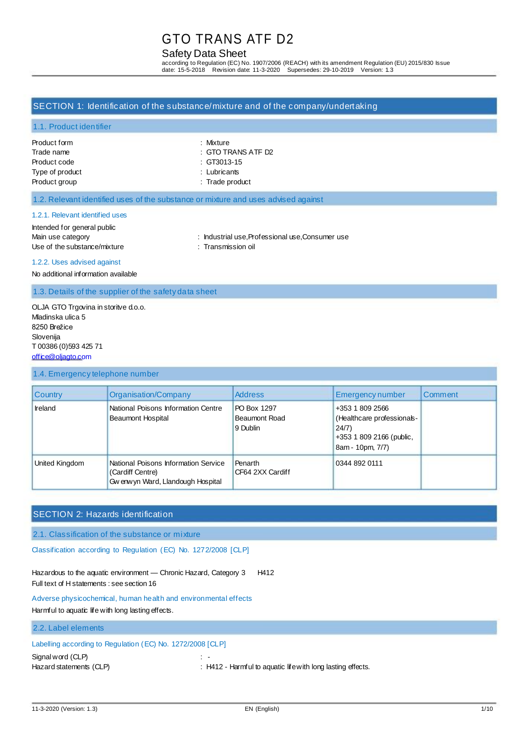# Safety Data Sheet

according to Regulation (EC) No. 1907/2006 (REACH) with its amendment Regulation (EU) 2015/830 Issue date: 15-5-2018 Revision date: 11-3-2020 Supersedes: 29-10-2019 Version: 1.3

### SECTION 1: Identification of the substance/mixture and of the company/undertaking

### 1.1. Product identifier

| Product form    |
|-----------------|
| Trade name      |
| Product code    |
| Type of product |
| Product group   |

: Mixture : GTO TRANS ATF D2  $\therefore$  GT3013-15

: Lubricants

: Trade product

#### 1.2. Relevant identified uses of the substance or mixture and uses advised against

#### 1.2.1. Relevant identified uses

Intended for general public Use of the substance/mixture : Transmission oil

Main use category **industrial use, Professional use, Consumer use** : Industrial use, Professional use, Consumer use

1.2.2. Uses advised against

No additional information available

1.3. Details of the supplier of the safety data sheet

OLJA GTO Trgovina in storitve d.o.o. Mladinska ulica 5 8250 Brežice Slovenija T 00386 (0)593 425 71 [office@oljagto.com](mailto:office@oljagto.com)

#### 1.4. Emergency telephone number

| <b>Country</b> | Organisation/Company                                                                           | <b>Address</b>                                  | Emergency number                                                                                      | Comment |
|----------------|------------------------------------------------------------------------------------------------|-------------------------------------------------|-------------------------------------------------------------------------------------------------------|---------|
| Ireland        | National Poisons Information Centre<br>Beaumont Hospital                                       | PO Box 1297<br><b>Beaumont Road</b><br>9 Dublin | +353 1 809 2566<br>(Healthcare professionals-<br>24/7<br>+353 1 809 2166 (public,<br>8am - 10pm, 7/7) |         |
| United Kingdom | National Poisons Information Service<br>(Cardiff Centre)<br>Gw enw yn Ward, Llandough Hospital | Penarth<br>CF64 2XX Cardiff                     | 0344 892 0111                                                                                         |         |

# SECTION 2: Hazards identification

2.1. Classification of the substance or mixture

Classification according to Regulation (EC) No. 1272/2008 [CLP]

Hazardous to the aquatic environment - Chronic Hazard, Category 3 H412 Full text of H statements : see section 16

Adverse physicochemical, human health and environmental effects Harmful to aquatic life with long lasting effects.

#### 2.2. Label elements

# Labelling according to Regulation (EC) No. 1272/2008 [CLP]

Signal word (CLP) : -

Hazard statements (CLP) : H412 - Harmful to aquatic life with long lasting effects.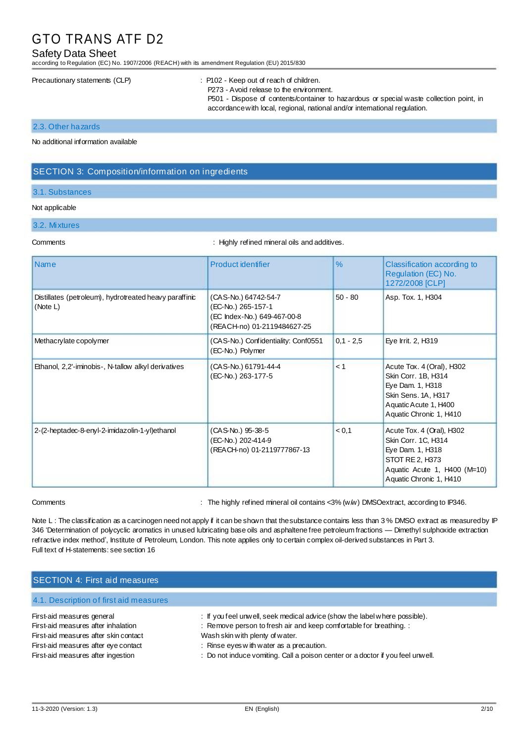### Safety Data Sheet

according to Regulation (EC) No. 1907/2006 (REACH) with its amendment Regulation (EU) 2015/830

#### Precautionary statements (CLP) : P102 - Keep out of reach of children.

P273 - Avoid release to the environment. P501 - Dispose of contents/container to hazardous or special waste collection point, in

accordance with local, regional, national and/or international regulation.

#### 2.3. Other hazards

No additional information available

### SECTION 3: Composition/information on ingredients

### 3.1. Substances

#### Not applicable

#### 3.2. Mixtures

Comments : Highly refined mineral oils and additives.

| <b>Name</b>                                                        | <b>Product identifier</b>                                                                                | $\frac{9}{6}$ | Classification according to<br>Regulation (EC) No.<br>1272/2008 [CLP]                                                                              |
|--------------------------------------------------------------------|----------------------------------------------------------------------------------------------------------|---------------|----------------------------------------------------------------------------------------------------------------------------------------------------|
| Distillates (petroleum), hydrotreated heavy paraffinic<br>(Note L) | (CAS-No.) 64742-54-7<br>(EC-No.) 265-157-1<br>(EC Index-No.) 649-467-00-8<br>(REACH-no) 01-2119484627-25 | $50 - 80$     | Asp. Tox. 1, H304                                                                                                                                  |
| Methacrylate copolymer                                             | (CAS-No.) Confidentiality: Conf0551<br>(EC-No.) Polymer                                                  | $0.1 - 2.5$   | Eye Irrit. 2, H319                                                                                                                                 |
| Ethanol, 2,2'-iminobis-, N-tallow alkyl derivatives                | (CAS-No.) 61791-44-4<br>(EC-No.) 263-177-5                                                               | < 1           | Acute Tox. 4 (Oral), H302<br>Skin Corr. 1B, H314<br>Eye Dam. 1, H318<br>Skin Sens. 1A, H317<br>Aquatic Acute 1, H400<br>Aquatic Chronic 1, H410    |
| 2-(2-heptadec-8-enyl-2-imidazolin-1-yl)ethanol                     | (CAS-No.) 95-38-5<br>(EC-No.) 202-414-9<br>(REACH-no) 01-2119777867-13                                   | < 0.1         | Acute Tox. 4 (Oral), H302<br>Skin Corr. 1C, H314<br>Eye Dam. 1, H318<br>STOT RE 2, H373<br>Aquatic Acute 1, H400 (M=10)<br>Aquatic Chronic 1, H410 |

Comments : The highly refined mineral oil contains <3% (w/w) DMSOextract, according to IP346.

Note L: The classification as a carcinogen need not apply if it can be shown that the substance contains less than 3% DMSO extract as measured by IP 346 'Determination of polycyclic aromatics in unused lubricating base oils and asphaltene free petroleum fractions — Dimethyl sulphoxide extraction refractive index method', Institute of Petroleum, London. This note applies only to certain complex oil-derived substances in Part 3. Full text of H-statements: see section 16

# SECTION 4: First aid measures

### 4.1. Description of first aid measures

# First-aid measures general

First-aid measures after inhalation First-aid measures after skin contact First-aid measures after eye contact First-aid measures after ingestion

- : If you feel unwell, seek medical advice (show the label where possible).
- : Remove person to fresh air and keep comfortable for breathing. :

Wash skin with plenty of water.

- : Rinse eyes w ith water as a precaution.
- : Do not induce vomiting. Call a poison center or a doctor if you feel unwell.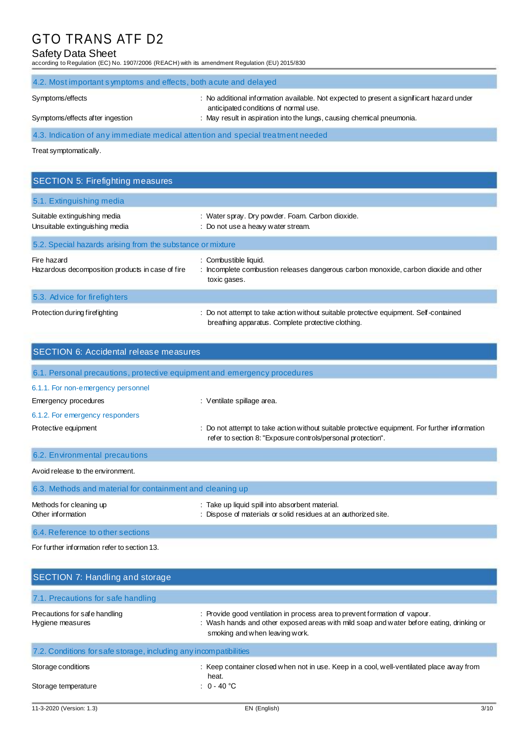# Safety Data Sheet

according to Regulation (EC) No. 1907/2006 (REACH) with its amendment Regulation (EU) 2015/830

| 4.2. Most important symptoms and effects, both a cute and delayed |                                                                                                                                                                                                              |  |  |  |  |
|-------------------------------------------------------------------|--------------------------------------------------------------------------------------------------------------------------------------------------------------------------------------------------------------|--|--|--|--|
| Symptoms/effects<br>Symptoms/effects after ingestion              | : No additional information available. Not expected to present a significant hazard under<br>anticipated conditions of normal use.<br>: May result in aspiration into the lungs, causing chemical pneumonia. |  |  |  |  |
|                                                                   | 4.3. Indication of any immediate medical attention and special treatment needed                                                                                                                              |  |  |  |  |
| Treat symptomatically.                                            |                                                                                                                                                                                                              |  |  |  |  |
|                                                                   |                                                                                                                                                                                                              |  |  |  |  |
|                                                                   |                                                                                                                                                                                                              |  |  |  |  |
| <b>SECTION 5: Firefighting measures</b>                           |                                                                                                                                                                                                              |  |  |  |  |
| 5.1. Extinguishing media                                          |                                                                                                                                                                                                              |  |  |  |  |
| Suitable extinguishing media<br>Unsuitable extinguishing media    | : Water spray. Dry powder. Foam. Carbon dioxide.<br>: Do not use a heavy water stream.                                                                                                                       |  |  |  |  |

| Fire hazard<br>Hazardous decomposition products in case of fire | : Combustible liquid.<br>: Incomplete combustion releases dangerous carbon monoxide, carbon dioxide and other<br>toxic gases.               |
|-----------------------------------------------------------------|---------------------------------------------------------------------------------------------------------------------------------------------|
| 5.3. Advice for fire fighters                                   |                                                                                                                                             |
| Protection during firefighting                                  | : Do not attempt to take action without suitable protective equipment. Self-contained<br>breathing apparatus. Complete protective clothing. |

| <b>SECTION 6: Accidental release measures</b>                            |                                                                                                                                                                |  |  |  |  |
|--------------------------------------------------------------------------|----------------------------------------------------------------------------------------------------------------------------------------------------------------|--|--|--|--|
| 6.1. Personal precautions, protective equipment and emergency procedures |                                                                                                                                                                |  |  |  |  |
| 6.1.1. For non-emergency personnel                                       |                                                                                                                                                                |  |  |  |  |
| Emergency procedures                                                     | : Ventilate spillage area.                                                                                                                                     |  |  |  |  |
| 6.1.2. For emergency responders                                          |                                                                                                                                                                |  |  |  |  |
| Protective equipment                                                     | : Do not attempt to take action without suitable protective equipment. For further information<br>refer to section 8: "Exposure controls/personal protection". |  |  |  |  |
| 6.2. Environmental precautions                                           |                                                                                                                                                                |  |  |  |  |
| Avoid release to the environment.                                        |                                                                                                                                                                |  |  |  |  |
| 6.3. Methods and material for containment and cleaning up                |                                                                                                                                                                |  |  |  |  |
| Methods for cleaning up<br>Other information                             | : Take up liquid spill into absorbent material.<br>: Dispose of materials or solid residues at an authorized site.                                             |  |  |  |  |

6.4. Reference to other sections

For further information refer to section 13.

| SECTION 7: Handling and storage                                   |                                                                                                                                                                                                          |
|-------------------------------------------------------------------|----------------------------------------------------------------------------------------------------------------------------------------------------------------------------------------------------------|
| 7.1. Precautions for safe handling                                |                                                                                                                                                                                                          |
| Precautions for safe handling<br>Hygiene measures                 | : Provide good ventilation in process area to prevent formation of vapour.<br>: Wash hands and other exposed areas with mild soap and water before eating, drinking or<br>smoking and when leaving work. |
| 7.2. Conditions for safe storage, including any incompatibilities |                                                                                                                                                                                                          |
| Storage conditions                                                | : Keep container closed when not in use. Keep in a cool, well-ventilated place away from<br>heat.                                                                                                        |
| Storage temperature                                               | $: 0 - 40$ °C                                                                                                                                                                                            |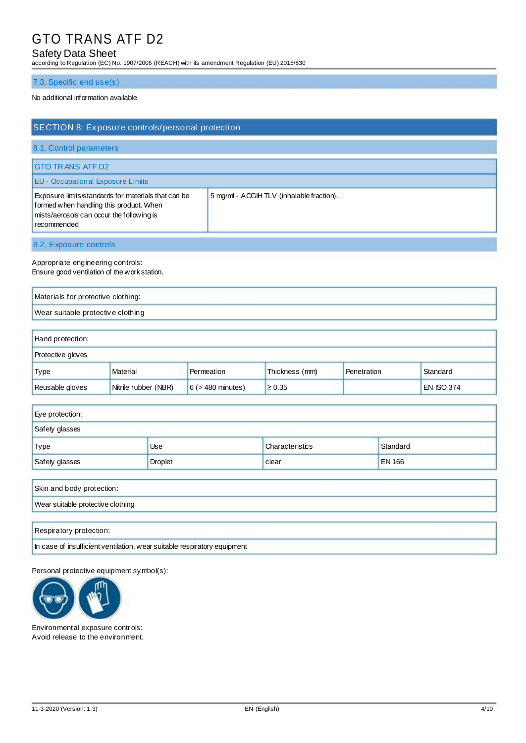# Safety Data Sheet

according to Regulation (EC) No. 1907/2006 (REACH) with its amendment Regulation (EU) 2015/830

### 7.3. Specific end use(s)

### No additional information available

| SECTION 8: Exposure controls/personal protection                                                                                                                                                       |  |  |  |  |
|--------------------------------------------------------------------------------------------------------------------------------------------------------------------------------------------------------|--|--|--|--|
| 8.1. Control parameters                                                                                                                                                                                |  |  |  |  |
| <b>GTO TRANS ATF D2</b>                                                                                                                                                                                |  |  |  |  |
| <b>EU - Occupational Exposure Limits</b>                                                                                                                                                               |  |  |  |  |
| Exposure limits/standards for materials that can be<br>5 mg/ml - ACGIHTLV (inhalable fraction).<br>formed when handling this product. When<br>mists/aerosols can occur the following is<br>recommended |  |  |  |  |
| 8.2. Exposure controls                                                                                                                                                                                 |  |  |  |  |

Appropriate engineering controls: Ensure good ventilation of the work station.

Materials for protective clothing: Wear suitable protective clothing

| Hand protection:                                                                                      |          |            |                |             |          |  |  |
|-------------------------------------------------------------------------------------------------------|----------|------------|----------------|-------------|----------|--|--|
| <b>Protective gloves</b>                                                                              |          |            |                |             |          |  |  |
| Type                                                                                                  | Material | Permeation | Thickness (mm) | Penetration | Standard |  |  |
| Nitrile rubber (NBR)<br>$6$ ( $>$ 480 minutes)<br><b>EN ISO 374</b><br>Reusable gloves<br>$\geq 0.35$ |          |            |                |             |          |  |  |

| Eye protection: |                |                 |               |  |
|-----------------|----------------|-----------------|---------------|--|
| Safety glasses  |                |                 |               |  |
| Type            | Use            | Characteristics | Standard      |  |
| Safety glasses  | <b>Droplet</b> | clear           | <b>EN 166</b> |  |

| Skin and body protection:                                                |
|--------------------------------------------------------------------------|
| Wear suitable protective clothing                                        |
|                                                                          |
| Respiratory protection:                                                  |
| In case of insufficient ventilation, wear suitable respiratory equipment |

Personal protective equipment symbol(s):



Environmental exposure controls: Avoid release to the environment.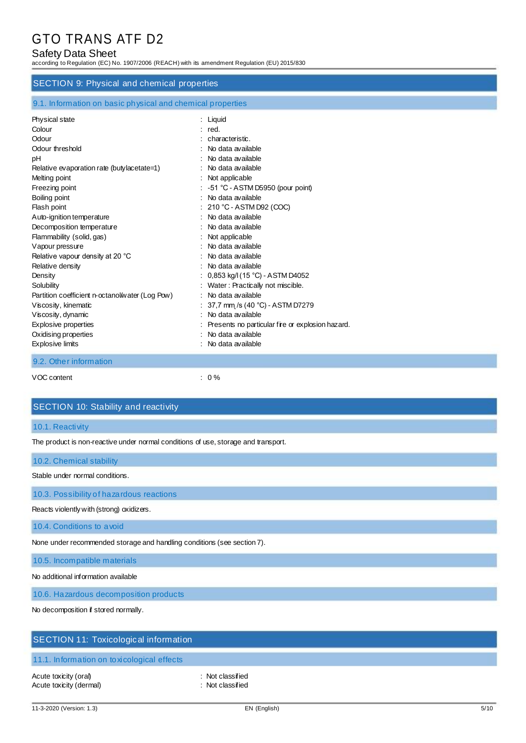# Safety Data Sheet

according to Regulation (EC) No. 1907/2006 (REACH) with its amendment Regulation (EU) 2015/830

### SECTION 9: Physical and chemical properties

| 9.1. Information on basic physical and chemical properties |  |  |
|------------------------------------------------------------|--|--|
|                                                            |  |  |

| Physical state                                  | $:$ Liquid                                       |
|-------------------------------------------------|--------------------------------------------------|
| Colour                                          | : red.                                           |
| Odour                                           | characteristic.                                  |
| Odour threshold                                 | No data available                                |
| pH                                              | No data available                                |
| Relative evaporation rate (butylacetate=1)      | No data available                                |
| Melting point                                   | : Not applicable                                 |
| Freezing point                                  | $-51$ °C - ASTM D5950 (pour point)               |
| Boiling point                                   | No data available                                |
| Flash point                                     | 210 °C - ASTM D92 (COC)                          |
| Auto-ignition temperature                       | $\therefore$ No data available                   |
| Decomposition temperature                       | No data available                                |
| Flammability (solid, gas)                       | Not applicable                                   |
| Vapour pressure                                 | No data available                                |
| Relative vapour density at 20 °C                | No data available                                |
| Relative density                                | No data available                                |
| Density                                         | 0,853 kg/l (15 °C) - ASTM D4052                  |
| Solubility                                      | Water: Practically not miscible.                 |
| Partition coefficient n-octanol/water (Log Pow) | No data available                                |
| Viscosity, kinematic                            | 37,7 mm /s (40 °C) - ASTM D7279                  |
| Viscosity, dynamic                              | No data available                                |
| <b>Explosive properties</b>                     | Presents no particular fire or explosion hazard. |
| Oxidising properties                            | No data available                                |
| <b>Explosive limits</b>                         | No data available                                |
| 9.2. Other information                          |                                                  |

VOC content  $\qquad \qquad : \quad 0\%$ 

## SECTION 10: Stability and reactivity

## 10.1. Reactivity

The product is non-reactive under normal conditions of use, storage and transport.

10.2. Chemical stability

Stable under normal conditions.

10.3. Possibility of hazardous reactions

Reacts violently with (strong) oxidizers.

10.4. Conditions to avoid

None under recommended storage and handling conditions (see section 7).

10.5. Incompatible materials

No additional information available

10.6. Hazardous decomposition products

No decomposition if stored normally.

# SECTION 11: Toxicological information

## 11.1. Information on toxicological effects

Acute toxicity (oral) in the classified in the classified in the classified in the classified Acute toxicity (dermal) in the set of the set of the set of the set of the set of the set of the set of the set of the set of the set of the set of the set of the set of the set of the set of the set of the set of the set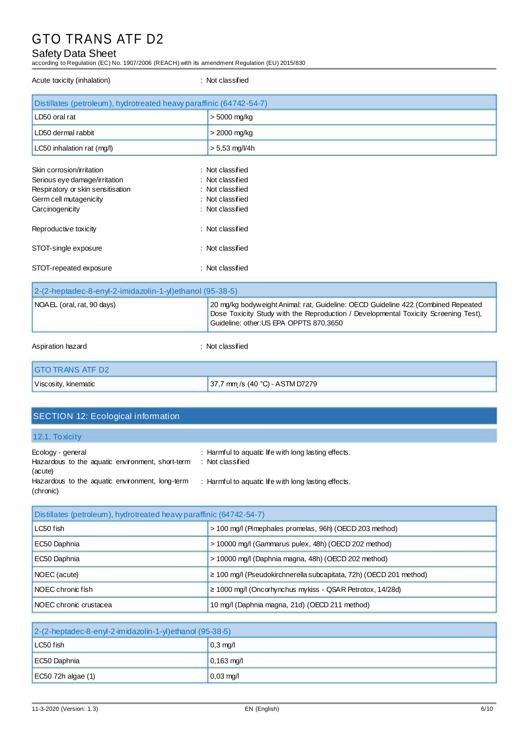# Safety Data Sheet

according to Regulation (EC) No. 1907/2006 (REACH) with its amendment Regulation (EU) 2015/830

| Acute toxicity (inhalation)                                                                                                                  | : Not classified                                                                                 |
|----------------------------------------------------------------------------------------------------------------------------------------------|--------------------------------------------------------------------------------------------------|
| Distillates (petroleum), hydrotreated heavy paraffinic (64742-54-7)                                                                          |                                                                                                  |
| LD50 oral rat                                                                                                                                | > 5000 mg/kg                                                                                     |
| LD50 dermal rabbit                                                                                                                           | $>$ 2000 mg/kg                                                                                   |
| LC50 inhalation rat (mg/l)                                                                                                                   | $> 5,53$ mg/l/4h                                                                                 |
| Skin corrosion/irritation<br>Serious eye damage/irritation<br>Respiratory or skin sensitisation<br>Germ cell mutagenicity<br>Carcinogenicity | : Not classified<br>: Not classified<br>: Not classified<br>: Not classified<br>: Not classified |
| Reproductive toxicity                                                                                                                        | : Not classified                                                                                 |
| STOT-single exposure                                                                                                                         | : Not classified                                                                                 |

STOT-repeated exposure in the state of the state of the STOT-repeated exposure

| 2-(2-heptadec-8-enyl-2-imidazolin-1-y)ethanol (95-38-5) |                                                                                                                                                                                                                     |
|---------------------------------------------------------|---------------------------------------------------------------------------------------------------------------------------------------------------------------------------------------------------------------------|
| NOAEL (oral, rat, 90 days)                              | 20 mg/kg bodyweight Animal: rat, Guideline: OECD Guideline 422 (Combined Repeated<br>Dose Toxicity Study with the Reproduction / Developmental Toxicity Screening Test),<br>Guideline: other: US EPA OPPTS 870.3650 |
| Aspiration hazard                                       | : Not classified                                                                                                                                                                                                    |

| IGTO TRANS ATF D2    |                                     |
|----------------------|-------------------------------------|
| Viscosity, kinematic | $37,7$ mm /s $(40 °C)$ - ASTM D7279 |

# SECTION 12: Ecological information

12.1. Toxicity

| Ecology - general<br>Hazardous to the aquatic environment, short-term<br>(acute) | : Harmful to aquatic life with long lasting effects.<br>: Not classified |
|----------------------------------------------------------------------------------|--------------------------------------------------------------------------|
| Hazardous to the aquatic environment, long-term<br>(chronic)                     | : Harmful to aquatic life with long lasting effects.                     |

| Distillates (petroleum), hydrotreated heavy paraffinic (64742-54-7) |                                                                         |
|---------------------------------------------------------------------|-------------------------------------------------------------------------|
| LC50 fish                                                           | > 100 mg/l (Pimephales promelas, 96h) (OECD 203 method)                 |
| EC50 Daphnia                                                        | > 10000 mg/l (Gammarus pulex, 48h) (OECD 202 method)                    |
| EC50 Daphnia                                                        | > 10000 mg/l (Daphnia magna, 48h) (OECD 202 method)                     |
| NOEC (acute)                                                        | $\geq$ 100 mg/l (Pseudokirchnerella subcapitata, 72h) (OECD 201 method) |
| I NOEC chronic fish                                                 | $\geq$ 1000 mg/l (Oncorhynchus mykiss - QSAR Petrotox, 14/28d)          |
| INOEC chronic crustacea                                             | 10 mg/l (Daphnia magna, 21d) (OECD 211 method)                          |

| $2-(2-heptadec-8-enyl-2-imidazolin-1-yl)ethanol (95-38-5)$ |                      |
|------------------------------------------------------------|----------------------|
| $LC50$ fish                                                | $0.3 \text{ mg/l}$   |
| EC50 Daphnia                                               | $0,163 \text{ mg/l}$ |
| $EC50$ 72h algae (1)                                       | $0,03 \text{ mg/l}$  |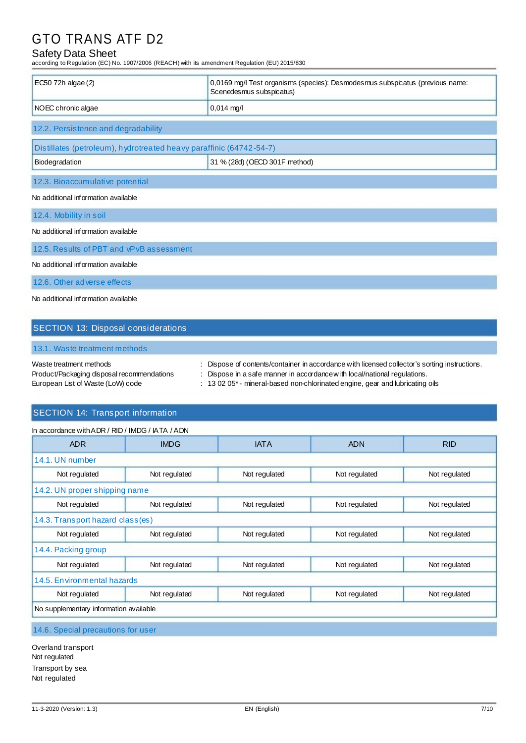# Safety Data Sheet

according to Regulation (EC) No. 1907/2006 (REACH) with its amendment Regulation (EU) 2015/830

| EC50 72h algae (2)                                                  | 0,0169 mg/l Test organisms (species): Desmodesmus subspicatus (previous name:<br>Scenedesmus subspicatus) |
|---------------------------------------------------------------------|-----------------------------------------------------------------------------------------------------------|
| NOEC chronic algae                                                  | $0,014$ mg/l                                                                                              |
| 12.2. Persistence and degradability                                 |                                                                                                           |
| Distillates (petroleum), hydrotreated heavy paraffinic (64742-54-7) |                                                                                                           |
| Biodegradation                                                      | 31 % (28d) (OECD 301F method)                                                                             |
| 12.3. Bioaccumulative potential                                     |                                                                                                           |
| No additional information available                                 |                                                                                                           |
| 12.4. Mobility in soil                                              |                                                                                                           |
| No additional information available                                 |                                                                                                           |
| 12.5. Results of PBT and vPvB assessment                            |                                                                                                           |
| No additional information available                                 |                                                                                                           |
| 12.6. Other adverse effects                                         |                                                                                                           |
| No additional information available                                 |                                                                                                           |

# SECTION 13: Disposal considerations

## 13.1. Waste treatment methods

| Waste treatment methods                    | : Dispose of contents/container in accordance with licensed collector's sorting instructions. |
|--------------------------------------------|-----------------------------------------------------------------------------------------------|
| Product/Packaging disposal recommendations | $\therefore$ Dispose in a safe manner in accordance with local/national regulations.          |
| European List of Waste (LoW) code          | $\pm$ 13 02 05 $^*$ - mineral-based non-chlorinated engine, gear and lubricating oils         |

# SECTION 14: Transport information

| In accordance with ADR / RID / IMDG / IATA / ADN |               |               |               |               |
|--------------------------------------------------|---------------|---------------|---------------|---------------|
| <b>ADR</b>                                       | <b>IMDG</b>   | <b>IATA</b>   | <b>ADN</b>    | <b>RID</b>    |
| 14.1. UN number                                  |               |               |               |               |
| Not regulated                                    | Not regulated | Not regulated | Not regulated | Not regulated |
| 14.2. UN proper shipping name                    |               |               |               |               |
| Not regulated                                    | Not regulated | Not regulated | Not regulated | Not regulated |
| 14.3. Transport hazard class(es)                 |               |               |               |               |
| Not regulated                                    | Not regulated | Not regulated | Not regulated | Not regulated |
| 14.4. Packing group                              |               |               |               |               |
| Not regulated                                    | Not regulated | Not regulated | Not regulated | Not regulated |
| 14.5. Environmental hazards                      |               |               |               |               |
| Not regulated                                    | Not regulated | Not regulated | Not regulated | Not regulated |
| No supplementary information available           |               |               |               |               |
|                                                  |               |               |               |               |

14.6. Special precautions for user

Overland transport Not regulated Transport by sea Not regulated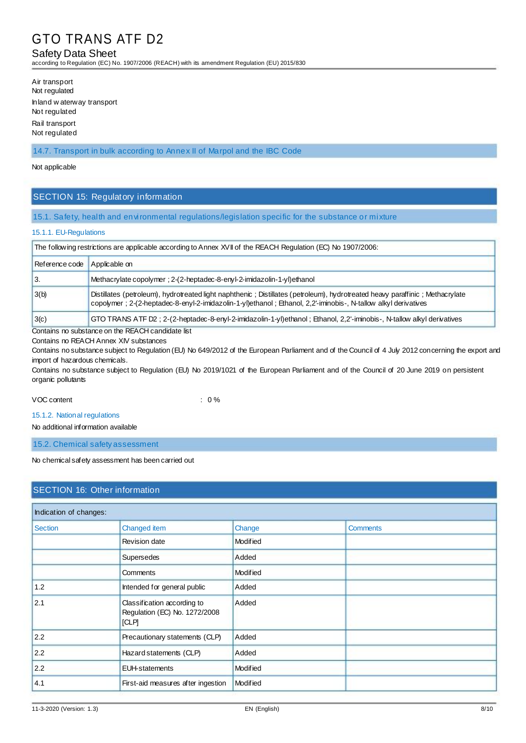## Safety Data Sheet

according to Regulation (EC) No. 1907/2006 (REACH) with its amendment Regulation (EU) 2015/830

| Air transport                              |
|--------------------------------------------|
| Not regulated                              |
| Inland waterway transport<br>Not regulated |
| Rail transport                             |
| Not regulated                              |

#### 14.7. Transport in bulk according to Annex II of Marpol and the IBC Code

#### Not applicable

# SECTION 15: Regulatory information

#### 15.1. Safety, health and environmental regulations/legislation specific for the substance or mixture

#### 15.1.1. EU-Regulations

| The following restrictions are applicable according to Annex XVII of the REACH Regulation (EC) No 1907/2006:                                                                                                                                          |                                                                                                                         |  |
|-------------------------------------------------------------------------------------------------------------------------------------------------------------------------------------------------------------------------------------------------------|-------------------------------------------------------------------------------------------------------------------------|--|
| Reference code<br>Applicable on                                                                                                                                                                                                                       |                                                                                                                         |  |
| 3.                                                                                                                                                                                                                                                    | Methacrylate copolymer ; 2-(2-heptadec-8-enyl-2-imidazolin-1-yl) ethanol                                                |  |
| Distillates (petroleum), hydrotreated light naphthenic; Distillates (petroleum), hydrotreated heavy paraffinic; Methacrylate<br>3(b)<br>copolymer; 2-(2-heptadec-8-enyl-2-imidazolin-1-yl)ethanol; Ethanol, 2,2-iminobis-, N-tallow alkyl derivatives |                                                                                                                         |  |
| 3(c)                                                                                                                                                                                                                                                  | GTO TRANS ATF D2 ; 2-(2-heptadec-8-enyl-2-imidazolin-1-yl)ethanol ; Ethanol, 2,2'-iminobis-, N-tallow alkyl derivatives |  |

Contains no substance on the REACH candidate list

Contains no REACH Annex XIV substances

Contains no substance subject to Regulation (EU) No 649/2012 of the European Parliament and of the Council of 4 July 2012 concerning the export and import of hazardous chemicals.

Contains no substance subject to Regulation (EU) No 2019/1021 of the European Parliament and of the Council of 20 June 2019 on persistent organic pollutants

#### VOC content : 0 %

15.1.2. National regulations

No additional information available

15.2. Chemical safety assessment

No chemical safety assessment has been carried out

| <b>SECTION 16: Other information</b> |                                                                       |                 |                 |  |
|--------------------------------------|-----------------------------------------------------------------------|-----------------|-----------------|--|
| Indication of changes:               |                                                                       |                 |                 |  |
| <b>Section</b>                       | Changed item                                                          | Change          | <b>Comments</b> |  |
|                                      | Revision date                                                         | <b>Modified</b> |                 |  |
|                                      | <b>Supersedes</b>                                                     | Added           |                 |  |
|                                      | <b>Comments</b>                                                       | Modified        |                 |  |
| 1.2                                  | Intended for general public                                           | Added           |                 |  |
| 2.1                                  | Classification according to<br>Regulation (EC) No. 1272/2008<br>[CLP] | Added           |                 |  |
| 2.2                                  | Precautionary statements (CLP)                                        | Added           |                 |  |
| 2.2                                  | Hazard statements (CLP)                                               | Added           |                 |  |
| 2.2                                  | <b>EUH-statements</b>                                                 | Modified        |                 |  |
| 4.1                                  | First-aid measures after ingestion                                    | Modified        |                 |  |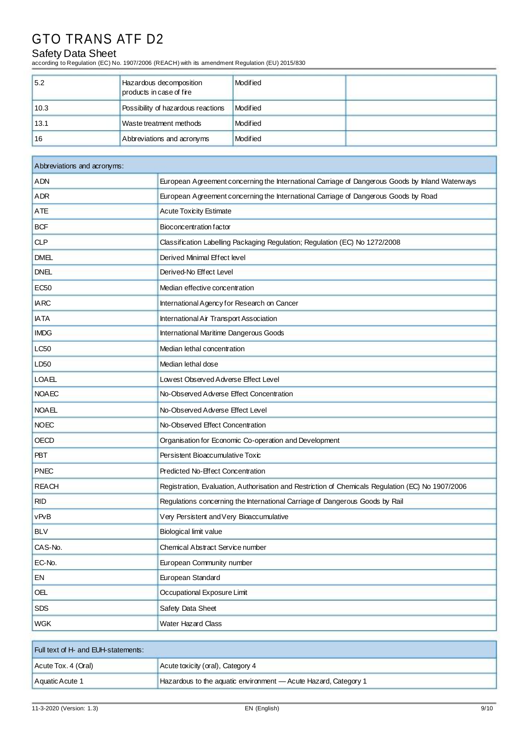# Safety Data Sheet

according to Regulation (EC) No. 1907/2006 (REACH) with its amendment Regulation (EU) 2015/830

| 5.2  | Hazardous decomposition<br>products in case of fire | Modified |  |
|------|-----------------------------------------------------|----------|--|
| 10.3 | Possibility of hazardous reactions                  | Modified |  |
| 13.1 | Waste treatment methods                             | Modified |  |
| 16   | Abbreviations and acronyms                          | Modified |  |

| Abbreviations and acronyms: |                                                                                                   |  |
|-----------------------------|---------------------------------------------------------------------------------------------------|--|
| ADN                         | European Agreement concerning the International Carriage of Dangerous Goods by Inland Waterways   |  |
| ADR                         | European Agreement concerning the International Carriage of Dangerous Goods by Road               |  |
| <b>ATE</b>                  | <b>Acute Toxicity Estimate</b>                                                                    |  |
| <b>BCF</b>                  | Bioconcentration factor                                                                           |  |
| <b>CLP</b>                  | Classification Labelling Packaging Regulation; Regulation (EC) No 1272/2008                       |  |
| <b>DMEL</b>                 | Derived Minimal Effect level                                                                      |  |
| <b>DNEL</b>                 | Derived-No Effect Level                                                                           |  |
| <b>EC50</b>                 | Median effective concentration                                                                    |  |
| <b>IARC</b>                 | International Agency for Research on Cancer                                                       |  |
| <b>IATA</b>                 | International Air Transport Association                                                           |  |
| <b>IMDG</b>                 | <b>International Maritime Dangerous Goods</b>                                                     |  |
| <b>LC50</b>                 | Median lethal concentration                                                                       |  |
| LD50                        | Median lethal dose                                                                                |  |
| <b>LOAEL</b>                | Lowest Observed Adverse Effect Level                                                              |  |
| <b>NOAEC</b>                | No-Observed Adverse Effect Concentration                                                          |  |
| <b>NOAEL</b>                | No-Observed Adverse Effect Level                                                                  |  |
| <b>NOEC</b>                 | No-Observed Effect Concentration                                                                  |  |
| <b>OECD</b>                 | Organisation for Economic Co-operation and Development                                            |  |
| <b>PBT</b>                  | Persistent Bioaccumulative Toxic                                                                  |  |
| <b>PNEC</b>                 | Predicted No-Effect Concentration                                                                 |  |
| <b>REACH</b>                | Registration, Evaluation, Authorisation and Restriction of Chemicals Regulation (EC) No 1907/2006 |  |
| <b>RID</b>                  | Regulations concerning the International Carriage of Dangerous Goods by Rail                      |  |
| vPvB                        | Very Persistent and Very Bioaccumulative                                                          |  |
| <b>BLV</b>                  | Biological limit value                                                                            |  |
| CAS-No.                     | Chemical Abstract Service number                                                                  |  |
| EC-No.                      | European Community number                                                                         |  |
| EN                          | European Standard                                                                                 |  |
| <b>OEL</b>                  | Occupational Exposure Limit                                                                       |  |
| <b>SDS</b>                  | Safety Data Sheet                                                                                 |  |
| <b>WGK</b>                  | Water Hazard Class                                                                                |  |

| Full text of H- and EUH-statements: |                                                                 |  |
|-------------------------------------|-----------------------------------------------------------------|--|
| Acute Tox. 4 (Oral)                 | Acute toxicity (oral), Category 4                               |  |
| Aquatic Acute 1                     | Hazardous to the aquatic environment - Acute Hazard, Category 1 |  |